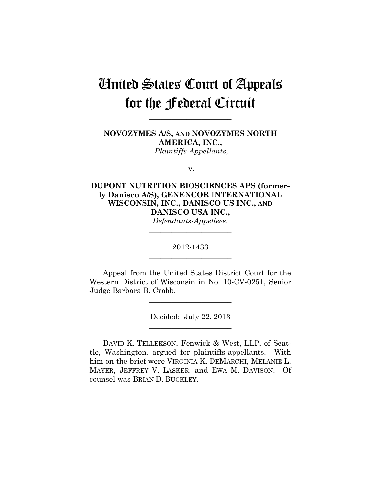# United States Court of Appeals for the Federal Circuit

**\_\_\_\_\_\_\_\_\_\_\_\_\_\_\_\_\_\_\_\_\_\_** 

**NOVOZYMES A/S, AND NOVOZYMES NORTH AMERICA, INC.,** *Plaintiffs-Appellants,*

**v.**

**DUPONT NUTRITION BIOSCIENCES APS (formerly Danisco A/S), GENENCOR INTERNATIONAL WISCONSIN, INC., DANISCO US INC., AND DANISCO USA INC.,**  *Defendants-Appellees.*

> 2012-1433 **\_\_\_\_\_\_\_\_\_\_\_\_\_\_\_\_\_\_\_\_\_\_**

> **\_\_\_\_\_\_\_\_\_\_\_\_\_\_\_\_\_\_\_\_\_\_**

Appeal from the United States District Court for the Western District of Wisconsin in No. 10-CV-0251, Senior Judge Barbara B. Crabb.

**\_\_\_\_\_\_\_\_\_\_\_\_\_\_\_\_\_\_\_\_\_\_** 

Decided: July 22, 2013 **\_\_\_\_\_\_\_\_\_\_\_\_\_\_\_\_\_\_\_\_\_\_** 

DAVID K. TELLEKSON, Fenwick & West, LLP, of Seattle, Washington, argued for plaintiffs-appellants. With him on the brief were VIRGINIA K. DEMARCHI, MELANIE L. MAYER, JEFFREY V. LASKER, and EWA M. DAVISON. Of counsel was BRIAN D. BUCKLEY.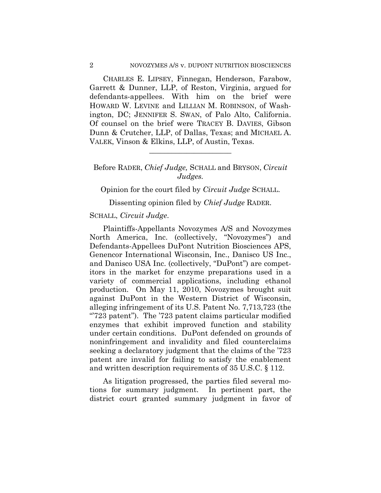CHARLES E. LIPSEY, Finnegan, Henderson, Farabow, Garrett & Dunner, LLP, of Reston, Virginia, argued for defendants-appellees. With him on the brief were HOWARD W. LEVINE and LILLIAN M. ROBINSON, of Washington, DC; JENNIFER S. SWAN, of Palo Alto, California. Of counsel on the brief were TRACEY B. DAVIES, Gibson Dunn & Crutcher, LLP, of Dallas, Texas; and MICHAEL A. VALEK, Vinson & Elkins, LLP, of Austin, Texas.

# Before RADER, *Chief Judge,* SCHALL and BRYSON, *Circuit Judges.*

**\_\_\_\_\_\_\_\_\_\_\_\_\_\_\_\_\_\_\_\_\_\_** 

Opinion for the court filed by *Circuit Judge* SCHALL.

Dissenting opinion filed by *Chief Judge* RADER.

#### SCHALL, *Circuit Judge*.

Plaintiffs-Appellants Novozymes A/S and Novozymes North America, Inc. (collectively, "Novozymes") and Defendants-Appellees DuPont Nutrition Biosciences APS, Genencor International Wisconsin, Inc., Danisco US Inc., and Danisco USA Inc. (collectively, "DuPont") are competitors in the market for enzyme preparations used in a variety of commercial applications, including ethanol production. On May 11, 2010, Novozymes brought suit against DuPont in the Western District of Wisconsin, alleging infringement of its U.S. Patent No. 7,713,723 (the "'723 patent"). The '723 patent claims particular modified enzymes that exhibit improved function and stability under certain conditions. DuPont defended on grounds of noninfringement and invalidity and filed counterclaims seeking a declaratory judgment that the claims of the '723 patent are invalid for failing to satisfy the enablement and written description requirements of 35 U.S.C. § 112.

As litigation progressed, the parties filed several motions for summary judgment. In pertinent part, the district court granted summary judgment in favor of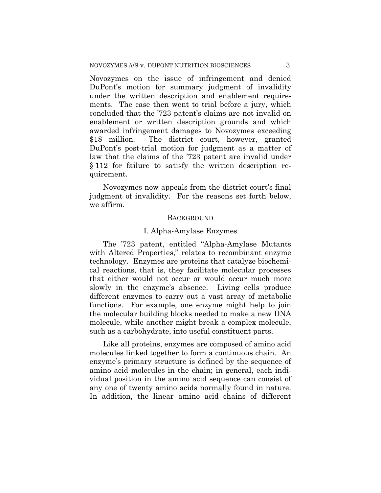Novozymes on the issue of infringement and denied DuPont's motion for summary judgment of invalidity under the written description and enablement requirements. The case then went to trial before a jury, which concluded that the '723 patent's claims are not invalid on enablement or written description grounds and which awarded infringement damages to Novozymes exceeding \$18 million. The district court, however, granted DuPont's post-trial motion for judgment as a matter of law that the claims of the '723 patent are invalid under § 112 for failure to satisfy the written description requirement.

Novozymes now appeals from the district court's final judgment of invalidity. For the reasons set forth below, we affirm.

#### **BACKGROUND**

#### I. Alpha-Amylase Enzymes

The '723 patent, entitled "Alpha-Amylase Mutants with Altered Properties," relates to recombinant enzyme technology. Enzymes are proteins that catalyze biochemical reactions, that is, they facilitate molecular processes that either would not occur or would occur much more slowly in the enzyme's absence. Living cells produce different enzymes to carry out a vast array of metabolic functions. For example, one enzyme might help to join the molecular building blocks needed to make a new DNA molecule, while another might break a complex molecule, such as a carbohydrate, into useful constituent parts.

Like all proteins, enzymes are composed of amino acid molecules linked together to form a continuous chain. An enzyme's primary structure is defined by the sequence of amino acid molecules in the chain; in general, each individual position in the amino acid sequence can consist of any one of twenty amino acids normally found in nature. In addition, the linear amino acid chains of different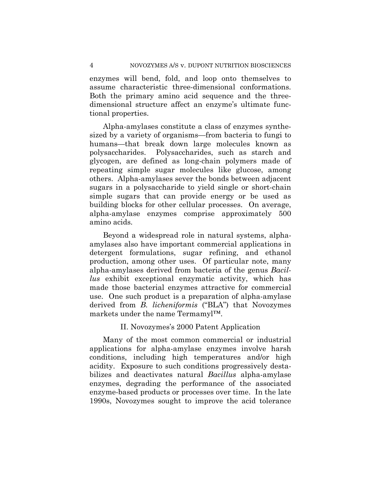enzymes will bend, fold, and loop onto themselves to assume characteristic three-dimensional conformations. Both the primary amino acid sequence and the threedimensional structure affect an enzyme's ultimate functional properties.

Alpha-amylases constitute a class of enzymes synthesized by a variety of organisms—from bacteria to fungi to humans—that break down large molecules known as polysaccharides. Polysaccharides, such as starch and glycogen, are defined as long-chain polymers made of repeating simple sugar molecules like glucose, among others. Alpha-amylases sever the bonds between adjacent sugars in a polysaccharide to yield single or short-chain simple sugars that can provide energy or be used as building blocks for other cellular processes. On average, alpha-amylase enzymes comprise approximately 500 amino acids.

Beyond a widespread role in natural systems, alphaamylases also have important commercial applications in detergent formulations, sugar refining, and ethanol production, among other uses. Of particular note, many alpha-amylases derived from bacteria of the genus *Bacillus* exhibit exceptional enzymatic activity, which has made those bacterial enzymes attractive for commercial use. One such product is a preparation of alpha-amylase derived from *B. licheniformis* ("BLA") that Novozymes markets under the name Termamyl™.

## II. Novozymes's 2000 Patent Application

Many of the most common commercial or industrial applications for alpha-amylase enzymes involve harsh conditions, including high temperatures and/or high acidity. Exposure to such conditions progressively destabilizes and deactivates natural *Bacillus* alpha-amylase enzymes, degrading the performance of the associated enzyme-based products or processes over time. In the late 1990s, Novozymes sought to improve the acid tolerance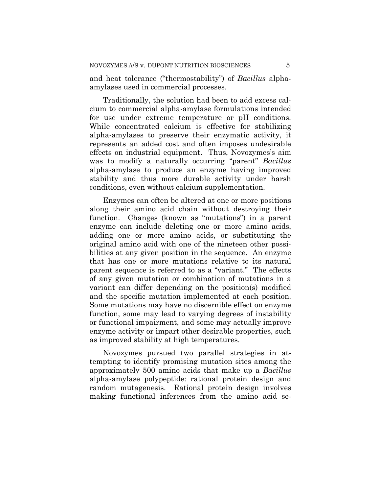and heat tolerance ("thermostability") of *Bacillus* alphaamylases used in commercial processes.

Traditionally, the solution had been to add excess calcium to commercial alpha-amylase formulations intended for use under extreme temperature or pH conditions. While concentrated calcium is effective for stabilizing alpha-amylases to preserve their enzymatic activity, it represents an added cost and often imposes undesirable effects on industrial equipment. Thus, Novozymes's aim was to modify a naturally occurring "parent" *Bacillus* alpha-amylase to produce an enzyme having improved stability and thus more durable activity under harsh conditions, even without calcium supplementation.

Enzymes can often be altered at one or more positions along their amino acid chain without destroying their function. Changes (known as "mutations") in a parent enzyme can include deleting one or more amino acids, adding one or more amino acids, or substituting the original amino acid with one of the nineteen other possibilities at any given position in the sequence. An enzyme that has one or more mutations relative to its natural parent sequence is referred to as a "variant." The effects of any given mutation or combination of mutations in a variant can differ depending on the position(s) modified and the specific mutation implemented at each position. Some mutations may have no discernible effect on enzyme function, some may lead to varying degrees of instability or functional impairment, and some may actually improve enzyme activity or impart other desirable properties, such as improved stability at high temperatures.

Novozymes pursued two parallel strategies in attempting to identify promising mutation sites among the approximately 500 amino acids that make up a *Bacillus* alpha-amylase polypeptide: rational protein design and random mutagenesis. Rational protein design involves making functional inferences from the amino acid se-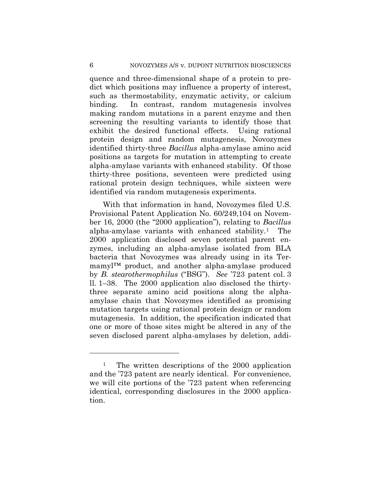quence and three-dimensional shape of a protein to predict which positions may influence a property of interest, such as thermostability, enzymatic activity, or calcium binding. In contrast, random mutagenesis involves making random mutations in a parent enzyme and then screening the resulting variants to identify those that exhibit the desired functional effects. Using rational protein design and random mutagenesis, Novozymes identified thirty-three *Bacillus* alpha-amylase amino acid positions as targets for mutation in attempting to create alpha-amylase variants with enhanced stability. Of those thirty-three positions, seventeen were predicted using rational protein design techniques, while sixteen were identified via random mutagenesis experiments.

With that information in hand, Novozymes filed U.S. Provisional Patent Application No. 60/249,104 on November 16, 2000 (the "2000 application"), relating to *Bacillus* alpha-amylase variants with enhanced stability.1 The 2000 application disclosed seven potential parent enzymes, including an alpha-amylase isolated from BLA bacteria that Novozymes was already using in its Termamyl™ product, and another alpha-amylase produced by *B. stearothermophilus* ("BSG"). *See* '723 patent col. 3 ll. 1–38. The 2000 application also disclosed the thirtythree separate amino acid positions along the alphaamylase chain that Novozymes identified as promising mutation targets using rational protein design or random mutagenesis. In addition, the specification indicated that one or more of those sites might be altered in any of the seven disclosed parent alpha-amylases by deletion, addi-

The written descriptions of the 2000 application and the '723 patent are nearly identical. For convenience, we will cite portions of the '723 patent when referencing identical, corresponding disclosures in the 2000 application.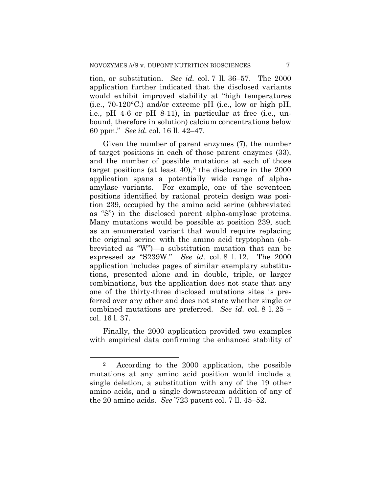tion, or substitution. *See id.* col. 7 ll. 36–57. The 2000 application further indicated that the disclosed variants would exhibit improved stability at "high temperatures (i.e., 70-120°C.) and/or extreme pH (i.e., low or high pH, i.e., pH 4-6 or pH 8-11), in particular at free (i.e., unbound, therefore in solution) calcium concentrations below 60 ppm." *See id.* col. 16 ll. 42–47.

Given the number of parent enzymes (7), the number of target positions in each of those parent enzymes (33), and the number of possible mutations at each of those target positions (at least  $40$ ),<sup>2</sup> the disclosure in the  $2000$ application spans a potentially wide range of alphaamylase variants. For example, one of the seventeen positions identified by rational protein design was position 239, occupied by the amino acid serine (abbreviated as "S") in the disclosed parent alpha-amylase proteins. Many mutations would be possible at position 239, such as an enumerated variant that would require replacing the original serine with the amino acid tryptophan (abbreviated as "W")—a substitution mutation that can be expressed as "S239W." *See id.* col. 8 l. 12. The 2000 application includes pages of similar exemplary substitutions, presented alone and in double, triple, or larger combinations, but the application does not state that any one of the thirty-three disclosed mutations sites is preferred over any other and does not state whether single or combined mutations are preferred. *See id.* col. 8 l. 25 – col. 16 l. 37.

Finally, the 2000 application provided two examples with empirical data confirming the enhanced stability of

<sup>2</sup> According to the 2000 application, the possible mutations at any amino acid position would include a single deletion, a substitution with any of the 19 other amino acids, and a single downstream addition of any of the 20 amino acids. *See* '723 patent col. 7 ll. 45–52.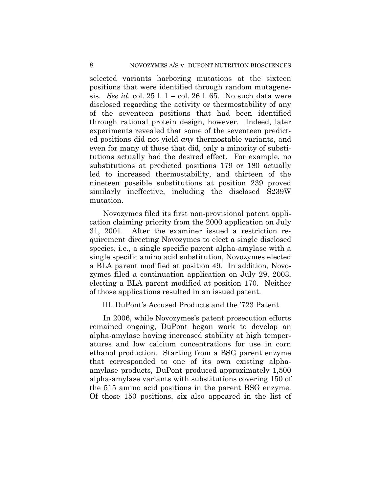selected variants harboring mutations at the sixteen positions that were identified through random mutagenesis. *See id.* col. 25 l. 1 – col. 26 l. 65. No such data were disclosed regarding the activity or thermostability of any of the seventeen positions that had been identified through rational protein design, however. Indeed, later experiments revealed that some of the seventeen predicted positions did not yield *any* thermostable variants, and even for many of those that did, only a minority of substitutions actually had the desired effect. For example, no substitutions at predicted positions 179 or 180 actually led to increased thermostability, and thirteen of the nineteen possible substitutions at position 239 proved similarly ineffective, including the disclosed S239W mutation.

Novozymes filed its first non-provisional patent application claiming priority from the 2000 application on July 31, 2001. After the examiner issued a restriction requirement directing Novozymes to elect a single disclosed species, i.e., a single specific parent alpha-amylase with a single specific amino acid substitution, Novozymes elected a BLA parent modified at position 49. In addition, Novozymes filed a continuation application on July 29, 2003, electing a BLA parent modified at position 170. Neither of those applications resulted in an issued patent.

# III. DuPont's Accused Products and the '723 Patent

In 2006, while Novozymes's patent prosecution efforts remained ongoing, DuPont began work to develop an alpha-amylase having increased stability at high temperatures and low calcium concentrations for use in corn ethanol production. Starting from a BSG parent enzyme that corresponded to one of its own existing alphaamylase products, DuPont produced approximately 1,500 alpha-amylase variants with substitutions covering 150 of the 515 amino acid positions in the parent BSG enzyme. Of those 150 positions, six also appeared in the list of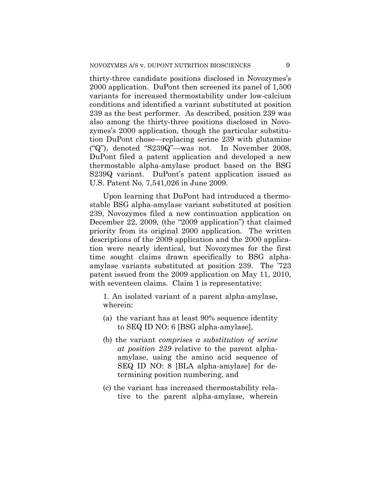thirty-three candidate positions disclosed in Novozymes's 2000 application. DuPont then screened its panel of 1,500 variants for increased thermostability under low-calcium conditions and identified a variant substituted at position 239 as the best performer. As described, position 239 was also among the thirty-three positions disclosed in Novozymes's 2000 application, though the particular substitution DuPont chose—replacing serine 239 with glutamine ("Q"), denoted "S239Q"—was not. In November 2008, DuPont filed a patent application and developed a new thermostable alpha-amylase product based on the BSG S239Q variant. DuPont's patent application issued as U.S. Patent No. 7,541,026 in June 2009.

Upon learning that DuPont had introduced a thermostable BSG alpha-amylase variant substituted at position 239, Novozymes filed a new continuation application on December 22, 2009, (the "2009 application") that claimed priority from its original 2000 application. The written descriptions of the 2009 application and the 2000 application were nearly identical, but Novozymes for the first time sought claims drawn specifically to BSG alphaamylase variants substituted at position 239. The '723 patent issued from the 2009 application on May 11, 2010, with seventeen claims. Claim 1 is representative:

1. An isolated variant of a parent alpha-amylase, wherein:

- (a) the variant has at least 90% sequence identity to SEQ ID NO: 6 [BSG alpha-amylase],
- (b) the variant *comprises a substitution of serine at position 239* relative to the parent alphaamylase, using the amino acid sequence of SEQ ID NO: 8 [BLA alpha-amylase] for determining position numbering, and
- (c) the variant has increased thermostability relative to the parent alpha-amylase, wherein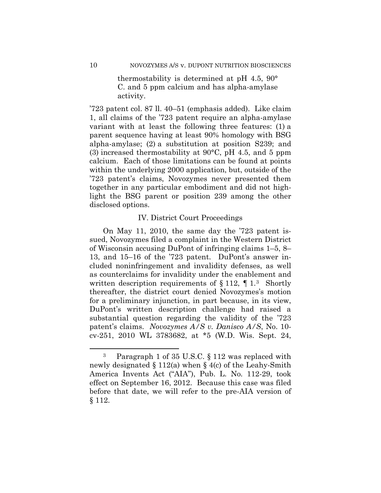thermostability is determined at pH 4.5, 90° C. and 5 ppm calcium and has alpha-amylase activity.

'723 patent col. 87 ll. 40–51 (emphasis added). Like claim 1, all claims of the '723 patent require an alpha-amylase variant with at least the following three features: (1) a parent sequence having at least 90% homology with BSG alpha-amylase; (2) a substitution at position S239; and (3) increased thermostability at 90°C, pH 4.5, and 5 ppm calcium. Each of those limitations can be found at points within the underlying 2000 application, but, outside of the '723 patent's claims, Novozymes never presented them together in any particular embodiment and did not highlight the BSG parent or position 239 among the other disclosed options.

#### IV. District Court Proceedings

On May 11, 2010, the same day the '723 patent issued, Novozymes filed a complaint in the Western District of Wisconsin accusing DuPont of infringing claims 1–5, 8– 13, and 15–16 of the '723 patent. DuPont's answer included noninfringement and invalidity defenses, as well as counterclaims for invalidity under the enablement and written description requirements of  $\S 112$ ,  $\P 1<sup>3</sup>$  Shortly thereafter, the district court denied Novozymes's motion for a preliminary injunction, in part because, in its view, DuPont's written description challenge had raised a substantial question regarding the validity of the '723 patent's claims. *Novozymes A/S v. Danisco A/S*, No. 10 cv-251, 2010 WL 3783682, at \*5 (W.D. Wis. Sept. 24,

<sup>3</sup> Paragraph 1 of 35 U.S.C. § 112 was replaced with newly designated § 112(a) when § 4(c) of the Leahy-Smith America Invents Act ("AIA"), Pub. L. No. 112-29, took effect on September 16, 2012. Because this case was filed before that date, we will refer to the pre-AIA version of § 112.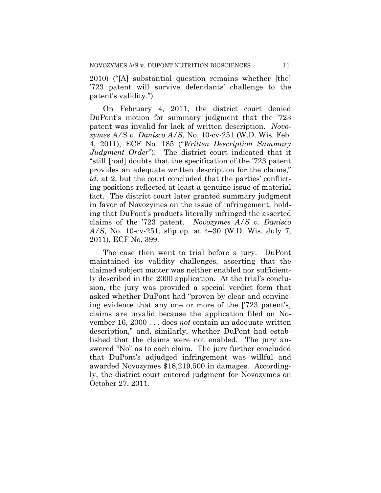2010) ("[A] substantial question remains whether [the] '723 patent will survive defendants' challenge to the patent's validity.").

On February 4, 2011, the district court denied DuPont's motion for summary judgment that the '723 patent was invalid for lack of written description. *Novozymes A/S v. Danisco A/S*, No. 10-cv-251 (W.D. Wis. Feb. 4, 2011), ECF No. 185 ("*Written Description Summary Judgment Order*"). The district court indicated that it "still [had] doubts that the specification of the '723 patent provides an adequate written description for the claims," *id.* at 2, but the court concluded that the parties' conflicting positions reflected at least a genuine issue of material fact. The district court later granted summary judgment in favor of Novozymes on the issue of infringement, holding that DuPont's products literally infringed the asserted claims of the '723 patent. *Novozymes A/S v. Danisco A/S*, No. 10-cv-251, slip op. at 4–30 (W.D. Wis. July 7, 2011), ECF No. 399.

The case then went to trial before a jury. DuPont maintained its validity challenges, asserting that the claimed subject matter was neither enabled nor sufficiently described in the 2000 application. At the trial's conclusion, the jury was provided a special verdict form that asked whether DuPont had "proven by clear and convincing evidence that any one or more of the ['723 patent's] claims are invalid because the application filed on November 16, 2000 . . . does *not* contain an adequate written description," and, similarly, whether DuPont had established that the claims were not enabled. The jury answered "No" as to each claim. The jury further concluded that DuPont's adjudged infringement was willful and awarded Novozymes \$18,219,500 in damages. Accordingly, the district court entered judgment for Novozymes on October 27, 2011.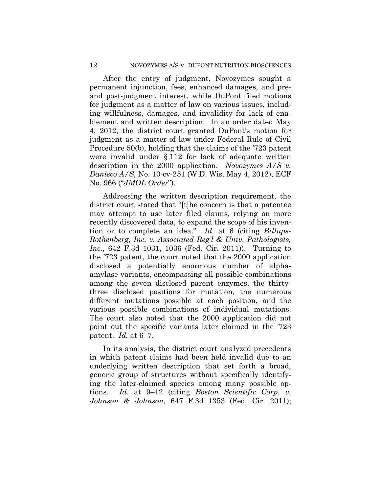After the entry of judgment, Novozymes sought a permanent injunction, fees, enhanced damages, and preand post-judgment interest, while DuPont filed motions for judgment as a matter of law on various issues, including willfulness, damages, and invalidity for lack of enablement and written description. In an order dated May 4, 2012, the district court granted DuPont's motion for judgment as a matter of law under Federal Rule of Civil Procedure 50(b), holding that the claims of the '723 patent were invalid under § 112 for lack of adequate written description in the 2000 application. *Novozymes A/S v. Danisco A/S*, No. 10-cv-251 (W.D. Wis. May 4, 2012), ECF No. 966 ("*JMOL Order*").

Addressing the written description requirement, the district court stated that "[t]he concern is that a patentee may attempt to use later filed claims, relying on more recently discovered data, to expand the scope of his invention or to complete an idea." *Id.* at 6 (citing *Billups-Rothenberg, Inc. v. Associated Reg'l & Univ. Pathologists, Inc.*, 642 F.3d 1031, 1036 (Fed. Cir. 2011)). Turning to the '723 patent, the court noted that the 2000 application disclosed a potentially enormous number of alphaamylase variants, encompassing all possible combinations among the seven disclosed parent enzymes, the thirtythree disclosed positions for mutation, the numerous different mutations possible at each position, and the various possible combinations of individual mutations. The court also noted that the 2000 application did not point out the specific variants later claimed in the '723 patent. *Id.* at 6–7.

In its analysis, the district court analyzed precedents in which patent claims had been held invalid due to an underlying written description that set forth a broad, generic group of structures without specifically identifying the later-claimed species among many possible options. *Id.* at 9–12 (citing *Boston Scientific Corp. v. Johnson & Johnson*, 647 F.3d 1353 (Fed. Cir. 2011);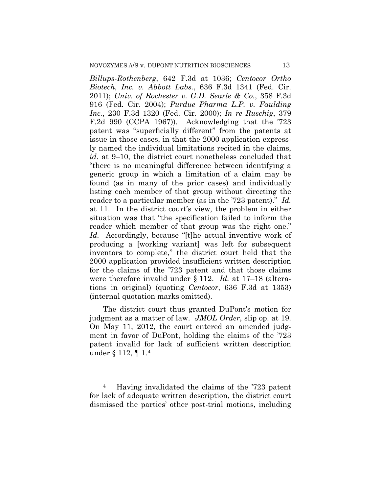*Billups-Rothenberg*, 642 F.3d at 1036; *Centocor Ortho Biotech, Inc. v. Abbott Labs.*, 636 F.3d 1341 (Fed. Cir. 2011); *Univ. of Rochester v. G.D. Searle & Co.*, 358 F.3d 916 (Fed. Cir. 2004); *Purdue Pharma L.P. v. Faulding Inc.*, 230 F.3d 1320 (Fed. Cir. 2000); *In re Ruschig*, 379 F.2d 990 (CCPA 1967)). Acknowledging that the '723 patent was "superficially different" from the patents at issue in those cases, in that the 2000 application expressly named the individual limitations recited in the claims, *id.* at 9–10, the district court nonetheless concluded that "there is no meaningful difference between identifying a generic group in which a limitation of a claim may be found (as in many of the prior cases) and individually listing each member of that group without directing the reader to a particular member (as in the '723 patent)." *Id.* at 11. In the district court's view, the problem in either situation was that "the specification failed to inform the reader which member of that group was the right one." *Id.* Accordingly, because "[t]he actual inventive work of producing a [working variant] was left for subsequent inventors to complete," the district court held that the 2000 application provided insufficient written description for the claims of the '723 patent and that those claims were therefore invalid under § 112. *Id.* at 17–18 (alterations in original) (quoting *Centocor*, 636 F.3d at 1353) (internal quotation marks omitted).

The district court thus granted DuPont's motion for judgment as a matter of law. *JMOL Order*, slip op. at 19. On May 11, 2012, the court entered an amended judgment in favor of DuPont, holding the claims of the '723 patent invalid for lack of sufficient written description under § 112, ¶ 1.4

<sup>4</sup> Having invalidated the claims of the '723 patent for lack of adequate written description, the district court dismissed the parties' other post-trial motions, including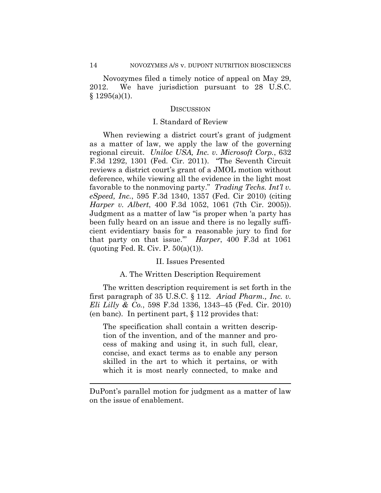Novozymes filed a timely notice of appeal on May 29, 2012. We have jurisdiction pursuant to 28 U.S.C.  $§ 1295(a)(1).$ 

#### **DISCUSSION**

#### I. Standard of Review

When reviewing a district court's grant of judgment as a matter of law, we apply the law of the governing regional circuit. *Uniloc USA, Inc. v. Microsoft Corp.*, 632 F.3d 1292, 1301 (Fed. Cir. 2011). "The Seventh Circuit reviews a district court's grant of a JMOL motion without deference, while viewing all the evidence in the light most favorable to the nonmoving party." *Trading Techs. Int'l v. eSpeed, Inc.*, 595 F.3d 1340, 1357 (Fed. Cir 2010) (citing *Harper v. Albert*, 400 F.3d 1052, 1061 (7th Cir. 2005)). Judgment as a matter of law "is proper when 'a party has been fully heard on an issue and there is no legally sufficient evidentiary basis for a reasonable jury to find for that party on that issue.'" *Harper*, 400 F.3d at 1061 (quoting Fed. R. Civ. P.  $50(a)(1)$ ).

#### II. Issues Presented

#### A. The Written Description Requirement

The written description requirement is set forth in the first paragraph of 35 U.S.C. § 112. *Ariad Pharm., Inc. v. Eli Lilly & Co.*, 598 F.3d 1336, 1343–45 (Fed. Cir. 2010) (en banc). In pertinent part,  $\S 112$  provides that:

The specification shall contain a written description of the invention, and of the manner and process of making and using it, in such full, clear, concise, and exact terms as to enable any person skilled in the art to which it pertains, or with which it is most nearly connected, to make and

DuPont's parallel motion for judgment as a matter of law on the issue of enablement.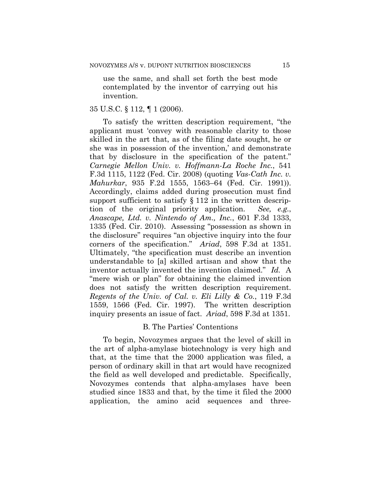use the same, and shall set forth the best mode contemplated by the inventor of carrying out his invention.

#### 35 U.S.C. § 112, ¶ 1 (2006).

To satisfy the written description requirement, "the applicant must 'convey with reasonable clarity to those skilled in the art that, as of the filing date sought, he or she was in possession of the invention,' and demonstrate that by disclosure in the specification of the patent." *Carnegie Mellon Univ. v. Hoffmann-La Roche Inc.*, 541 F.3d 1115, 1122 (Fed. Cir. 2008) (quoting *Vas-Cath Inc. v. Mahurkar*, 935 F.2d 1555, 1563–64 (Fed. Cir. 1991)). Accordingly, claims added during prosecution must find support sufficient to satisfy § 112 in the written description of the original priority application. *See, e.g.*, *Anascape, Ltd. v. Nintendo of Am., Inc.*, 601 F.3d 1333, 1335 (Fed. Cir. 2010). Assessing "possession as shown in the disclosure" requires "an objective inquiry into the four corners of the specification." *Ariad*, 598 F.3d at 1351. Ultimately, "the specification must describe an invention understandable to [a] skilled artisan and show that the inventor actually invented the invention claimed." *Id.* A "mere wish or plan" for obtaining the claimed invention does not satisfy the written description requirement. *Regents of the Univ. of Cal. v. Eli Lilly & Co.*, 119 F.3d 1559, 1566 (Fed. Cir. 1997). The written description inquiry presents an issue of fact. *Ariad*, 598 F.3d at 1351.

## B. The Parties' Contentions

To begin, Novozymes argues that the level of skill in the art of alpha-amylase biotechnology is very high and that, at the time that the 2000 application was filed, a person of ordinary skill in that art would have recognized the field as well developed and predictable. Specifically, Novozymes contends that alpha-amylases have been studied since 1833 and that, by the time it filed the 2000 application, the amino acid sequences and three-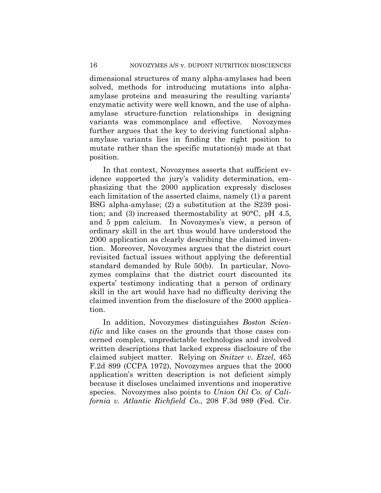dimensional structures of many alpha-amylases had been solved, methods for introducing mutations into alphaamylase proteins and measuring the resulting variants' enzymatic activity were well known, and the use of alphaamylase structure-function relationships in designing variants was commonplace and effective. Novozymes further argues that the key to deriving functional alphaamylase variants lies in finding the right position to mutate rather than the specific mutation(s) made at that position.

In that context, Novozymes asserts that sufficient evidence supported the jury's validity determination, emphasizing that the 2000 application expressly discloses each limitation of the asserted claims, namely (1) a parent BSG alpha-amylase; (2) a substitution at the S239 position; and (3) increased thermostability at 90°C, pH 4.5, and 5 ppm calcium. In Novozymes's view, a person of ordinary skill in the art thus would have understood the 2000 application as clearly describing the claimed invention. Moreover, Novozymes argues that the district court revisited factual issues without applying the deferential standard demanded by Rule 50(b). In particular, Novozymes complains that the district court discounted its experts' testimony indicating that a person of ordinary skill in the art would have had no difficulty deriving the claimed invention from the disclosure of the 2000 application.

In addition, Novozymes distinguishes *Boston Scientific* and like cases on the grounds that those cases concerned complex, unpredictable technologies and involved written descriptions that lacked express disclosure of the claimed subject matter. Relying on *Snitzer v. Etzel*, 465 F.2d 899 (CCPA 1972), Novozymes argues that the 2000 application's written description is not deficient simply because it discloses unclaimed inventions and inoperative species. Novozymes also points to *Union Oil Co. of California v. Atlantic Richfield Co.*, 208 F.3d 989 (Fed. Cir.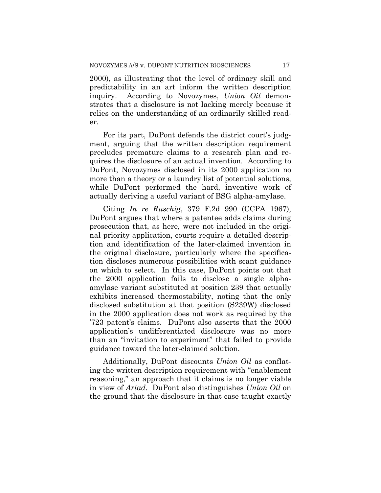2000), as illustrating that the level of ordinary skill and predictability in an art inform the written description inquiry. According to Novozymes, *Union Oil* demonstrates that a disclosure is not lacking merely because it relies on the understanding of an ordinarily skilled reader.

For its part, DuPont defends the district court's judgment, arguing that the written description requirement precludes premature claims to a research plan and requires the disclosure of an actual invention. According to DuPont, Novozymes disclosed in its 2000 application no more than a theory or a laundry list of potential solutions, while DuPont performed the hard, inventive work of actually deriving a useful variant of BSG alpha-amylase.

Citing *In re Ruschig*, 379 F.2d 990 (CCPA 1967), DuPont argues that where a patentee adds claims during prosecution that, as here, were not included in the original priority application, courts require a detailed description and identification of the later-claimed invention in the original disclosure, particularly where the specification discloses numerous possibilities with scant guidance on which to select. In this case, DuPont points out that the 2000 application fails to disclose a single alphaamylase variant substituted at position 239 that actually exhibits increased thermostability, noting that the only disclosed substitution at that position (S239W) disclosed in the 2000 application does not work as required by the '723 patent's claims. DuPont also asserts that the 2000 application's undifferentiated disclosure was no more than an "invitation to experiment" that failed to provide guidance toward the later-claimed solution.

Additionally, DuPont discounts *Union Oil* as conflating the written description requirement with "enablement reasoning," an approach that it claims is no longer viable in view of *Ariad*. DuPont also distinguishes *Union Oil* on the ground that the disclosure in that case taught exactly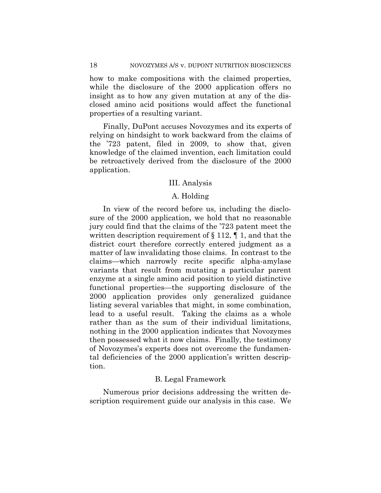how to make compositions with the claimed properties, while the disclosure of the 2000 application offers no insight as to how any given mutation at any of the disclosed amino acid positions would affect the functional properties of a resulting variant.

Finally, DuPont accuses Novozymes and its experts of relying on hindsight to work backward from the claims of the '723 patent, filed in 2009, to show that, given knowledge of the claimed invention, each limitation could be retroactively derived from the disclosure of the 2000 application.

# III. Analysis

# A. Holding

In view of the record before us, including the disclosure of the 2000 application, we hold that no reasonable jury could find that the claims of the '723 patent meet the written description requirement of § 112, ¶ 1, and that the district court therefore correctly entered judgment as a matter of law invalidating those claims. In contrast to the claims—which narrowly recite specific alpha-amylase variants that result from mutating a particular parent enzyme at a single amino acid position to yield distinctive functional properties—the supporting disclosure of the 2000 application provides only generalized guidance listing several variables that might, in some combination, lead to a useful result. Taking the claims as a whole rather than as the sum of their individual limitations, nothing in the 2000 application indicates that Novozymes then possessed what it now claims. Finally, the testimony of Novozymes's experts does not overcome the fundamental deficiencies of the 2000 application's written description.

## B. Legal Framework

Numerous prior decisions addressing the written description requirement guide our analysis in this case. We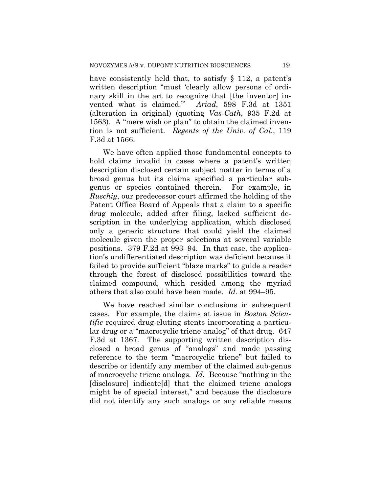have consistently held that, to satisfy § 112, a patent's written description "must 'clearly allow persons of ordinary skill in the art to recognize that [the inventor] invented what is claimed.'" *Ariad*, 598 F.3d at 1351 (alteration in original) (quoting *Vas-Cath*, 935 F.2d at 1563). A "mere wish or plan" to obtain the claimed invention is not sufficient. *Regents of the Univ. of Cal.*, 119 F.3d at 1566.

We have often applied those fundamental concepts to hold claims invalid in cases where a patent's written description disclosed certain subject matter in terms of a broad genus but its claims specified a particular subgenus or species contained therein. For example, in *Ruschig*, our predecessor court affirmed the holding of the Patent Office Board of Appeals that a claim to a specific drug molecule, added after filing, lacked sufficient description in the underlying application, which disclosed only a generic structure that could yield the claimed molecule given the proper selections at several variable positions. 379 F.2d at 993–94. In that case, the application's undifferentiated description was deficient because it failed to provide sufficient "blaze marks" to guide a reader through the forest of disclosed possibilities toward the claimed compound, which resided among the myriad others that also could have been made. *Id.* at 994–95.

We have reached similar conclusions in subsequent cases. For example, the claims at issue in *Boston Scientific* required drug-eluting stents incorporating a particular drug or a "macrocyclic triene analog" of that drug. 647 F.3d at 1367. The supporting written description disclosed a broad genus of "analogs" and made passing reference to the term "macrocyclic triene" but failed to describe or identify any member of the claimed sub-genus of macrocyclic triene analogs. *Id.* Because "nothing in the [disclosure] indicate<sup>[d]</sup> that the claimed triene analogs might be of special interest," and because the disclosure did not identify any such analogs or any reliable means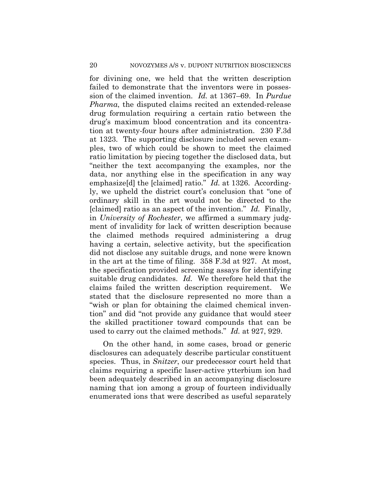for divining one, we held that the written description failed to demonstrate that the inventors were in possession of the claimed invention. *Id.* at 1367–69. In *Purdue Pharma*, the disputed claims recited an extended-release drug formulation requiring a certain ratio between the drug's maximum blood concentration and its concentration at twenty-four hours after administration. 230 F.3d at 1323. The supporting disclosure included seven examples, two of which could be shown to meet the claimed ratio limitation by piecing together the disclosed data, but "neither the text accompanying the examples, nor the data, nor anything else in the specification in any way emphasize[d] the [claimed] ratio." *Id.* at 1326. Accordingly, we upheld the district court's conclusion that "one of ordinary skill in the art would not be directed to the [claimed] ratio as an aspect of the invention." *Id.* Finally, in *University of Rochester*, we affirmed a summary judgment of invalidity for lack of written description because the claimed methods required administering a drug having a certain, selective activity, but the specification did not disclose any suitable drugs, and none were known in the art at the time of filing. 358 F.3d at 927. At most, the specification provided screening assays for identifying suitable drug candidates. *Id.* We therefore held that the claims failed the written description requirement. We stated that the disclosure represented no more than a "wish or plan for obtaining the claimed chemical invention" and did "not provide any guidance that would steer the skilled practitioner toward compounds that can be used to carry out the claimed methods." *Id.* at 927, 929.

On the other hand, in some cases, broad or generic disclosures can adequately describe particular constituent species. Thus, in *Snitzer*, our predecessor court held that claims requiring a specific laser-active ytterbium ion had been adequately described in an accompanying disclosure naming that ion among a group of fourteen individually enumerated ions that were described as useful separately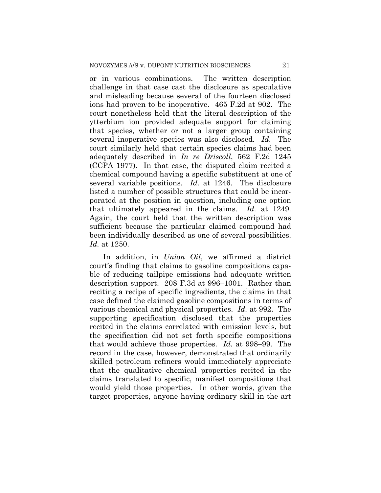or in various combinations. The written description challenge in that case cast the disclosure as speculative and misleading because several of the fourteen disclosed ions had proven to be inoperative. 465 F.2d at 902. The court nonetheless held that the literal description of the ytterbium ion provided adequate support for claiming that species, whether or not a larger group containing several inoperative species was also disclosed. *Id.* The court similarly held that certain species claims had been adequately described in *In re Driscoll*, 562 F.2d 1245 (CCPA 1977). In that case, the disputed claim recited a chemical compound having a specific substituent at one of several variable positions. *Id.* at 1246. The disclosure listed a number of possible structures that could be incorporated at the position in question, including one option that ultimately appeared in the claims. *Id.* at 1249. Again, the court held that the written description was sufficient because the particular claimed compound had been individually described as one of several possibilities. *Id.* at 1250.

In addition, in *Union Oil*, we affirmed a district court's finding that claims to gasoline compositions capable of reducing tailpipe emissions had adequate written description support. 208 F.3d at 996–1001. Rather than reciting a recipe of specific ingredients, the claims in that case defined the claimed gasoline compositions in terms of various chemical and physical properties. *Id.* at 992. The supporting specification disclosed that the properties recited in the claims correlated with emission levels, but the specification did not set forth specific compositions that would achieve those properties. *Id.* at 998–99. The record in the case, however, demonstrated that ordinarily skilled petroleum refiners would immediately appreciate that the qualitative chemical properties recited in the claims translated to specific, manifest compositions that would yield those properties. In other words, given the target properties, anyone having ordinary skill in the art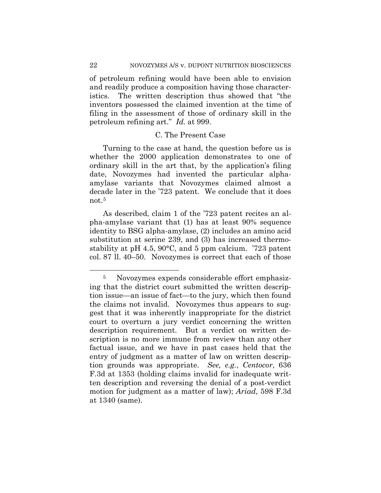of petroleum refining would have been able to envision and readily produce a composition having those characteristics. The written description thus showed that "the inventors possessed the claimed invention at the time of filing in the assessment of those of ordinary skill in the petroleum refining art." *Id.* at 999.

#### C. The Present Case

Turning to the case at hand, the question before us is whether the 2000 application demonstrates to one of ordinary skill in the art that, by the application's filing date, Novozymes had invented the particular alphaamylase variants that Novozymes claimed almost a decade later in the '723 patent. We conclude that it does not.5

As described, claim 1 of the '723 patent recites an alpha-amylase variant that (1) has at least 90% sequence identity to BSG alpha-amylase, (2) includes an amino acid substitution at serine 239, and (3) has increased thermostability at pH 4.5, 90°C, and 5 ppm calcium. '723 patent col. 87 ll. 40–50. Novozymes is correct that each of those

<sup>5</sup> Novozymes expends considerable effort emphasizing that the district court submitted the written description issue—an issue of fact—to the jury, which then found the claims not invalid. Novozymes thus appears to suggest that it was inherently inappropriate for the district court to overturn a jury verdict concerning the written description requirement. But a verdict on written description is no more immune from review than any other factual issue, and we have in past cases held that the entry of judgment as a matter of law on written description grounds was appropriate. *See, e.g.*, *Centocor*, 636 F.3d at 1353 (holding claims invalid for inadequate written description and reversing the denial of a post-verdict motion for judgment as a matter of law); *Ariad*, 598 F.3d at 1340 (same).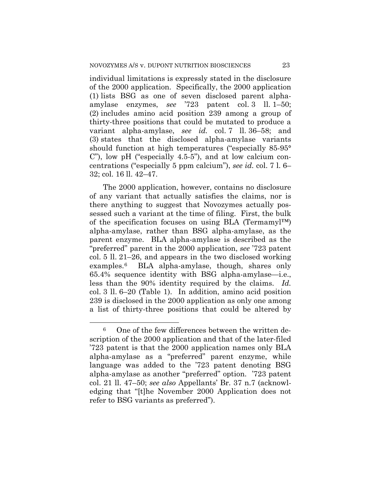individual limitations is expressly stated in the disclosure of the 2000 application. Specifically, the 2000 application (1) lists BSG as one of seven disclosed parent alphaamylase enzymes, *see* '723 patent col. 3 ll. 1–50; (2) includes amino acid position 239 among a group of thirty-three positions that could be mutated to produce a variant alpha-amylase, *see id.* col. 7 ll. 36–58; and (3) states that the disclosed alpha-amylase variants should function at high temperatures ("especially 85-95° C"), low pH ("especially 4.5-5"), and at low calcium concentrations ("especially 5 ppm calcium"), *see id.* col. 7 l. 6– 32; col. 16 ll. 42–47.

The 2000 application, however, contains no disclosure of any variant that actually satisfies the claims, nor is there anything to suggest that Novozymes actually possessed such a variant at the time of filing. First, the bulk of the specification focuses on using BLA (Termamyl™) alpha-amylase, rather than BSG alpha-amylase, as the parent enzyme. BLA alpha-amylase is described as the "preferred" parent in the 2000 application, *see* '723 patent col. 5 ll. 21–26, and appears in the two disclosed working examples.6 BLA alpha-amylase, though, shares only 65.4% sequence identity with BSG alpha-amylase—i.e., less than the 90% identity required by the claims. *Id.* col. 3 ll. 6–20 (Table 1). In addition, amino acid position 239 is disclosed in the 2000 application as only one among a list of thirty-three positions that could be altered by

<sup>6</sup> One of the few differences between the written description of the 2000 application and that of the later-filed '723 patent is that the 2000 application names only BLA alpha-amylase as a "preferred" parent enzyme, while language was added to the '723 patent denoting BSG alpha-amylase as another "preferred" option. '723 patent col. 21 ll. 47–50; *see also* Appellants' Br. 37 n.7 (acknowledging that "[t]he November 2000 Application does not refer to BSG variants as preferred").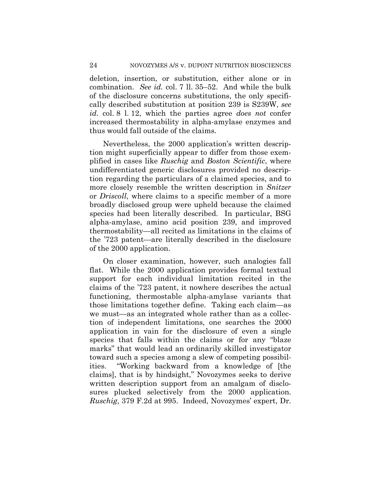deletion, insertion, or substitution, either alone or in combination. *See id.* col. 7 ll. 35–52. And while the bulk of the disclosure concerns substitutions, the only specifically described substitution at position 239 is S239W, *see id.* col. 8 l. 12, which the parties agree *does not* confer increased thermostability in alpha-amylase enzymes and thus would fall outside of the claims.

Nevertheless, the 2000 application's written description might superficially appear to differ from those exemplified in cases like *Ruschig* and *Boston Scientific*, where undifferentiated generic disclosures provided no description regarding the particulars of a claimed species, and to more closely resemble the written description in *Snitzer* or *Driscoll*, where claims to a specific member of a more broadly disclosed group were upheld because the claimed species had been literally described. In particular, BSG alpha-amylase, amino acid position 239, and improved thermostability—all recited as limitations in the claims of the '723 patent—are literally described in the disclosure of the 2000 application.

On closer examination, however, such analogies fall flat. While the 2000 application provides formal textual support for each individual limitation recited in the claims of the '723 patent, it nowhere describes the actual functioning, thermostable alpha-amylase variants that those limitations together define. Taking each claim—as we must—as an integrated whole rather than as a collection of independent limitations, one searches the 2000 application in vain for the disclosure of even a single species that falls within the claims or for any "blaze marks" that would lead an ordinarily skilled investigator toward such a species among a slew of competing possibilities. "Working backward from a knowledge of [the claims], that is by hindsight," Novozymes seeks to derive written description support from an amalgam of disclosures plucked selectively from the 2000 application. *Ruschig*, 379 F.2d at 995. Indeed, Novozymes' expert, Dr.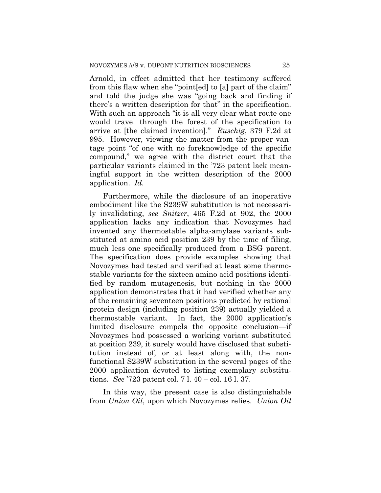Arnold, in effect admitted that her testimony suffered from this flaw when she "point[ed] to [a] part of the claim" and told the judge she was "going back and finding if there's a written description for that" in the specification. With such an approach "it is all very clear what route one would travel through the forest of the specification to arrive at [the claimed invention]." *Ruschig*, 379 F.2d at 995. However, viewing the matter from the proper vantage point "of one with no foreknowledge of the specific compound," we agree with the district court that the particular variants claimed in the '723 patent lack meaningful support in the written description of the 2000 application. *Id.*

Furthermore, while the disclosure of an inoperative embodiment like the S239W substitution is not necessarily invalidating, *see Snitzer*, 465 F.2d at 902, the 2000 application lacks any indication that Novozymes had invented any thermostable alpha-amylase variants substituted at amino acid position 239 by the time of filing, much less one specifically produced from a BSG parent. The specification does provide examples showing that Novozymes had tested and verified at least some thermostable variants for the sixteen amino acid positions identified by random mutagenesis, but nothing in the 2000 application demonstrates that it had verified whether any of the remaining seventeen positions predicted by rational protein design (including position 239) actually yielded a thermostable variant. In fact, the 2000 application's limited disclosure compels the opposite conclusion—if Novozymes had possessed a working variant substituted at position 239, it surely would have disclosed that substitution instead of, or at least along with, the nonfunctional S239W substitution in the several pages of the 2000 application devoted to listing exemplary substitutions. *See* '723 patent col. 7 l. 40 – col. 16 l. 37.

In this way, the present case is also distinguishable from *Union Oil*, upon which Novozymes relies. *Union Oil*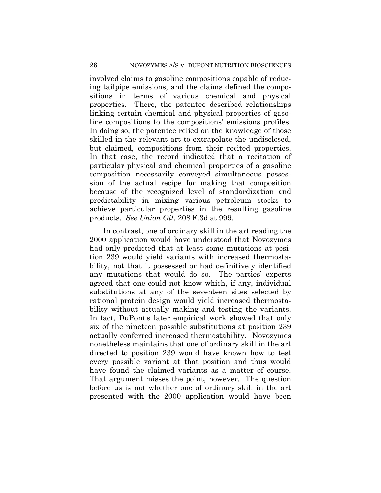involved claims to gasoline compositions capable of reducing tailpipe emissions, and the claims defined the compositions in terms of various chemical and physical properties. There, the patentee described relationships linking certain chemical and physical properties of gasoline compositions to the compositions' emissions profiles. In doing so, the patentee relied on the knowledge of those skilled in the relevant art to extrapolate the undisclosed, but claimed, compositions from their recited properties. In that case, the record indicated that a recitation of particular physical and chemical properties of a gasoline composition necessarily conveyed simultaneous possession of the actual recipe for making that composition because of the recognized level of standardization and predictability in mixing various petroleum stocks to achieve particular properties in the resulting gasoline products. *See Union Oil*, 208 F.3d at 999.

In contrast, one of ordinary skill in the art reading the 2000 application would have understood that Novozymes had only predicted that at least some mutations at position 239 would yield variants with increased thermostability, not that it possessed or had definitively identified any mutations that would do so. The parties' experts agreed that one could not know which, if any, individual substitutions at any of the seventeen sites selected by rational protein design would yield increased thermostability without actually making and testing the variants. In fact, DuPont's later empirical work showed that only six of the nineteen possible substitutions at position 239 actually conferred increased thermostability. Novozymes nonetheless maintains that one of ordinary skill in the art directed to position 239 would have known how to test every possible variant at that position and thus would have found the claimed variants as a matter of course. That argument misses the point, however. The question before us is not whether one of ordinary skill in the art presented with the 2000 application would have been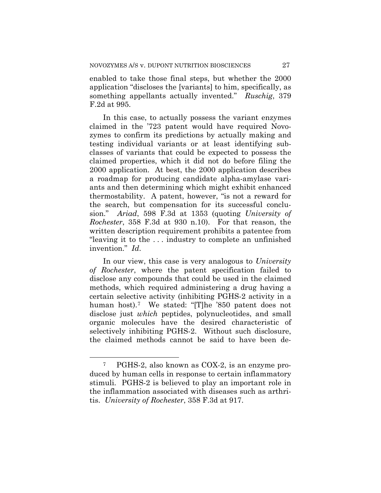enabled to take those final steps, but whether the 2000 application "discloses the [variants] to him, specifically, as something appellants actually invented." *Ruschig*, 379 F.2d at 995.

In this case, to actually possess the variant enzymes claimed in the '723 patent would have required Novozymes to confirm its predictions by actually making and testing individual variants or at least identifying subclasses of variants that could be expected to possess the claimed properties, which it did not do before filing the 2000 application. At best, the 2000 application describes a roadmap for producing candidate alpha-amylase variants and then determining which might exhibit enhanced thermostability. A patent, however, "is not a reward for the search, but compensation for its successful conclusion." *Ariad*, 598 F.3d at 1353 (quoting *University of Rochester*, 358 F.3d at 930 n.10). For that reason, the written description requirement prohibits a patentee from "leaving it to the . . . industry to complete an unfinished invention." *Id*.

In our view, this case is very analogous to *University of Rochester*, where the patent specification failed to disclose any compounds that could be used in the claimed methods, which required administering a drug having a certain selective activity (inhibiting PGHS-2 activity in a human host).<sup>7</sup> We stated: "[T]he '850 patent does not disclose just *which* peptides, polynucleotides, and small organic molecules have the desired characteristic of selectively inhibiting PGHS-2. Without such disclosure, the claimed methods cannot be said to have been de-

<sup>7</sup> PGHS-2, also known as COX-2, is an enzyme produced by human cells in response to certain inflammatory stimuli. PGHS-2 is believed to play an important role in the inflammation associated with diseases such as arthritis. *University of Rochester*, 358 F.3d at 917.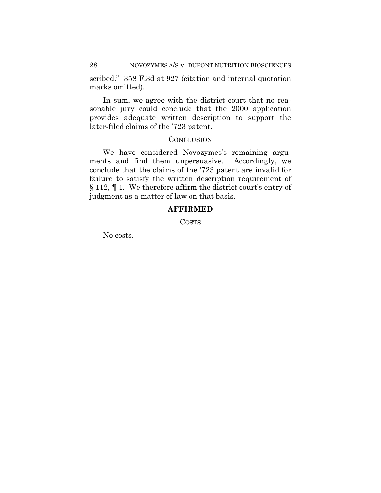scribed." 358 F.3d at 927 (citation and internal quotation marks omitted).

In sum, we agree with the district court that no reasonable jury could conclude that the 2000 application provides adequate written description to support the later-filed claims of the '723 patent.

#### **CONCLUSION**

We have considered Novozymes's remaining arguments and find them unpersuasive. Accordingly, we conclude that the claims of the '723 patent are invalid for failure to satisfy the written description requirement of § 112, ¶ 1. We therefore affirm the district court's entry of judgment as a matter of law on that basis.

## **AFFIRMED**

**COSTS** 

No costs.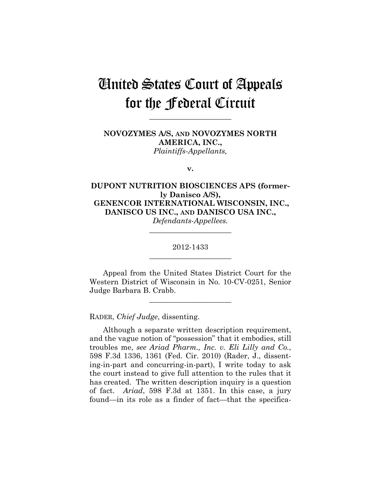# United States Court of Appeals for the Federal Circuit

**\_\_\_\_\_\_\_\_\_\_\_\_\_\_\_\_\_\_\_\_\_\_** 

**NOVOZYMES A/S, AND NOVOZYMES NORTH AMERICA, INC.,** *Plaintiffs-Appellants,*

**v.**

**DUPONT NUTRITION BIOSCIENCES APS (formerly Danisco A/S), GENENCOR INTERNATIONAL WISCONSIN, INC., DANISCO US INC., AND DANISCO USA INC.,**  *Defendants-Appellees.*

# 2012-1433 **\_\_\_\_\_\_\_\_\_\_\_\_\_\_\_\_\_\_\_\_\_\_**

**\_\_\_\_\_\_\_\_\_\_\_\_\_\_\_\_\_\_\_\_\_\_** 

Appeal from the United States District Court for the Western District of Wisconsin in No. 10-CV-0251, Senior Judge Barbara B. Crabb.

**\_\_\_\_\_\_\_\_\_\_\_\_\_\_\_\_\_\_\_\_\_\_** 

RADER, *Chief Judge*, dissenting.

Although a separate written description requirement, and the vague notion of "possession" that it embodies, still troubles me, *see Ariad Pharm., Inc. v. Eli Lilly and Co.*, 598 F.3d 1336, 1361 (Fed. Cir. 2010) (Rader, J., dissenting-in-part and concurring-in-part), I write today to ask the court instead to give full attention to the rules that it has created. The written description inquiry is a question of fact. *Ariad*, 598 F.3d at 1351. In this case, a jury found—in its role as a finder of fact—that the specifica-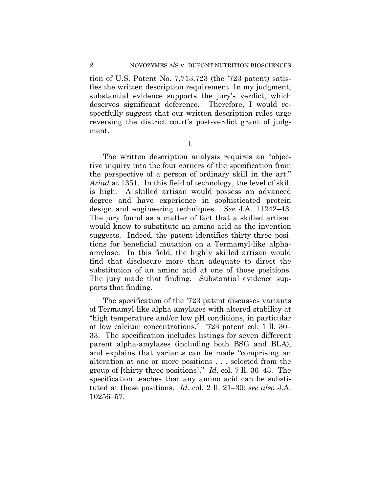tion of U.S. Patent No. 7,713,723 (the '723 patent) satisfies the written description requirement. In my judgment, substantial evidence supports the jury's verdict, which deserves significant deference. Therefore, I would respectfully suggest that our written description rules urge reversing the district court's post-verdict grant of judgment.

I.

The written description analysis requires an "objective inquiry into the four corners of the specification from the perspective of a person of ordinary skill in the art." *Ariad* at 1351. In this field of technology, the level of skill is high. A skilled artisan would possess an advanced degree and have experience in sophisticated protein design and engineering techniques. *See* J.A. 11242–43. The jury found as a matter of fact that a skilled artisan would know to substitute an amino acid as the invention suggests. Indeed, the patent identifies thirty-three positions for beneficial mutation on a Termamyl-like alphaamylase. In this field, the highly skilled artisan would find that disclosure more than adequate to direct the substitution of an amino acid at one of those positions. The jury made that finding. Substantial evidence supports that finding.

The specification of the '723 patent discusses variants of Termamyl-like alpha-amylases with altered stability at "high temperature and/or low pH conditions, in particular at low calcium concentrations." '723 patent col. 1 ll. 30– 33. The specification includes listings for seven different parent alpha-amylases (including both BSG and BLA), and explains that variants can be made "comprising an alteration at one or more positions . . . selected from the group of [thirty-three positions]." *Id.* col. 7 ll. 36–43. The specification teaches that any amino acid can be substituted at those positions. *Id*. col. 2 ll. 21–30; *see also* J.A. 10256–57.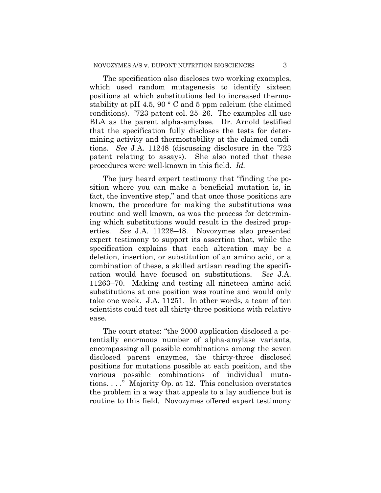The specification also discloses two working examples, which used random mutagenesis to identify sixteen positions at which substitutions led to increased thermostability at pH 4.5, 90 ° C and 5 ppm calcium (the claimed conditions). '723 patent col. 25–26. The examples all use BLA as the parent alpha-amylase. Dr. Arnold testified that the specification fully discloses the tests for determining activity and thermostability at the claimed conditions. *See* J.A. 11248 (discussing disclosure in the '723 patent relating to assays). She also noted that these procedures were well-known in this field. *Id.* 

The jury heard expert testimony that "finding the position where you can make a beneficial mutation is, in fact, the inventive step," and that once those positions are known, the procedure for making the substitutions was routine and well known, as was the process for determining which substitutions would result in the desired properties. *See* J.A. 11228–48. Novozymes also presented expert testimony to support its assertion that, while the specification explains that each alteration may be a deletion, insertion, or substitution of an amino acid, or a combination of these, a skilled artisan reading the specification would have focused on substitutions. *See* J.A. 11263–70. Making and testing all nineteen amino acid substitutions at one position was routine and would only take one week. J.A. 11251. In other words, a team of ten scientists could test all thirty-three positions with relative ease.

The court states: "the 2000 application disclosed a potentially enormous number of alpha-amylase variants, encompassing all possible combinations among the seven disclosed parent enzymes, the thirty-three disclosed positions for mutations possible at each position, and the various possible combinations of individual mutations. . . ." Majority Op. at 12. This conclusion overstates the problem in a way that appeals to a lay audience but is routine to this field. Novozymes offered expert testimony